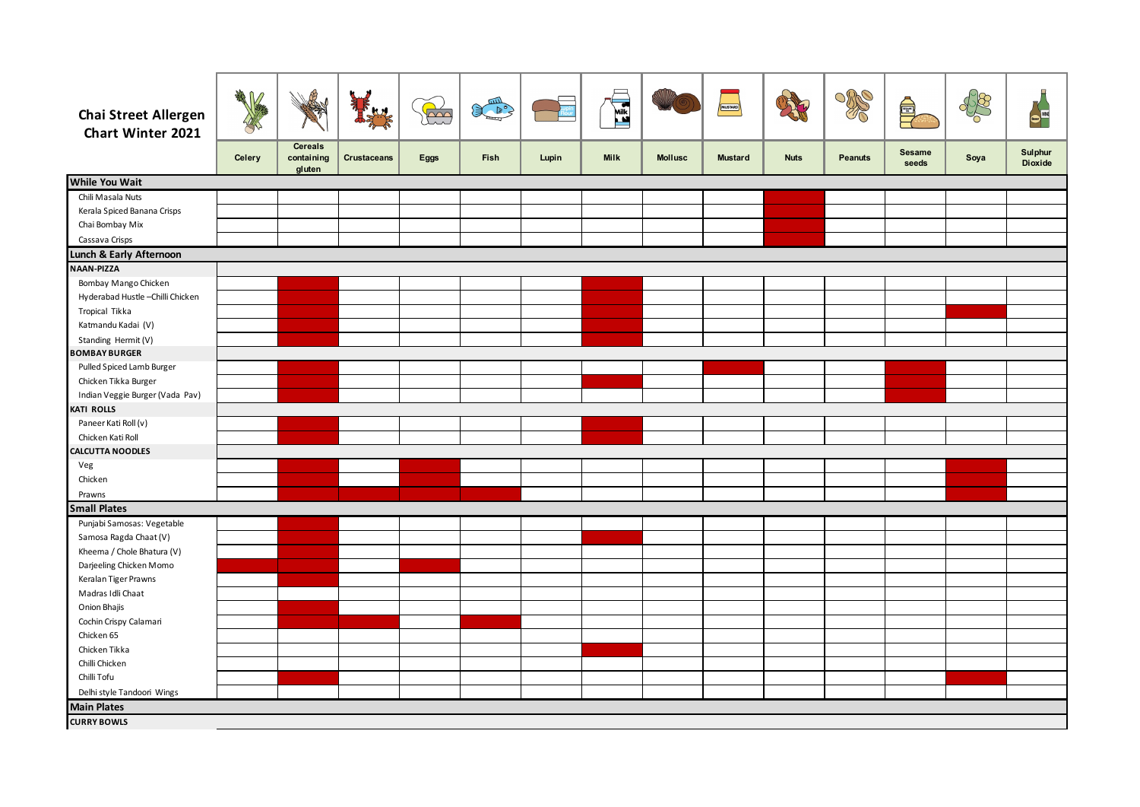| <b>Chai Street Allergen</b><br>Chart Winter 2021 | No. of Concession | ₫                                      | <b>kx</b>          | $\widetilde{\mathbb{R}}$ | <b>READER</b> |       | <b>RAILWAY</b> |                | MUSTARD        |             | R              | <b>Allen</b>           | $\frac{1}{2}$ | Boer               |
|--------------------------------------------------|-------------------|----------------------------------------|--------------------|--------------------------|---------------|-------|----------------|----------------|----------------|-------------|----------------|------------------------|---------------|--------------------|
|                                                  | <b>Celery</b>     | <b>Cereals</b><br>containing<br>gluten | <b>Crustaceans</b> | <b>Eggs</b>              | <b>Fish</b>   | Lupin | <b>Milk</b>    | <b>Mollusc</b> | <b>Mustard</b> | <b>Nuts</b> | <b>Peanuts</b> | <b>Sesame</b><br>seeds | Soya          | Sulphur<br>Dioxide |
| <b>While You Wait</b>                            |                   |                                        |                    |                          |               |       |                |                |                |             |                |                        |               |                    |
| Chili Masala Nuts                                |                   |                                        |                    |                          |               |       |                |                |                |             |                |                        |               |                    |
| Kerala Spiced Banana Crisps                      |                   |                                        |                    |                          |               |       |                |                |                |             |                |                        |               |                    |
| Chai Bombay Mix                                  |                   |                                        |                    |                          |               |       |                |                |                |             |                |                        |               |                    |
| Cassava Crisps                                   |                   |                                        |                    |                          |               |       |                |                |                |             |                |                        |               |                    |
| Lunch & Early Afternoon                          |                   |                                        |                    |                          |               |       |                |                |                |             |                |                        |               |                    |
| NAAN-PIZZA                                       |                   |                                        |                    |                          |               |       |                |                |                |             |                |                        |               |                    |
| Bombay Mango Chicken                             |                   |                                        |                    |                          |               |       |                |                |                |             |                |                        |               |                    |
| Hyderabad Hustle-Chilli Chicken                  |                   |                                        |                    |                          |               |       |                |                |                |             |                |                        |               |                    |
| Tropical Tikka                                   |                   |                                        |                    |                          |               |       |                |                |                |             |                |                        |               |                    |
| Katmandu Kadai (V)                               |                   |                                        |                    |                          |               |       |                |                |                |             |                |                        |               |                    |
| Standing Hermit (V)                              |                   |                                        |                    |                          |               |       |                |                |                |             |                |                        |               |                    |
| <b>BOMBAY BURGER</b>                             |                   |                                        |                    |                          |               |       |                |                |                |             |                |                        |               |                    |
| Pulled Spiced Lamb Burger                        |                   |                                        |                    |                          |               |       |                |                |                |             |                |                        |               |                    |
| Chicken Tikka Burger                             |                   |                                        |                    |                          |               |       |                |                |                |             |                |                        |               |                    |
| Indian Veggie Burger (Vada Pav)                  |                   |                                        |                    |                          |               |       |                |                |                |             |                |                        |               |                    |
| KATI ROLLS                                       |                   |                                        |                    |                          |               |       |                |                |                |             |                |                        |               |                    |
| Paneer Kati Roll (v)                             |                   |                                        |                    |                          |               |       |                |                |                |             |                |                        |               |                    |
| Chicken Kati Roll                                |                   |                                        |                    |                          |               |       |                |                |                |             |                |                        |               |                    |
| CALCUTTA NOODLES                                 |                   |                                        |                    |                          |               |       |                |                |                |             |                |                        |               |                    |
| Veg                                              |                   |                                        |                    |                          |               |       |                |                |                |             |                |                        |               |                    |
| Chicken                                          |                   |                                        |                    |                          |               |       |                |                |                |             |                |                        |               |                    |
| Prawns                                           |                   |                                        |                    |                          |               |       |                |                |                |             |                |                        |               |                    |
| <b>Small Plates</b>                              |                   |                                        |                    |                          |               |       |                |                |                |             |                |                        |               |                    |
| Punjabi Samosas: Vegetable                       |                   |                                        |                    |                          |               |       |                |                |                |             |                |                        |               |                    |
| Samosa Ragda Chaat (V)                           |                   |                                        |                    |                          |               |       |                |                |                |             |                |                        |               |                    |
| Kheema / Chole Bhatura (V)                       |                   |                                        |                    |                          |               |       |                |                |                |             |                |                        |               |                    |
| Darjeeling Chicken Momo                          |                   |                                        |                    |                          |               |       |                |                |                |             |                |                        |               |                    |
| Keralan Tiger Prawns<br>Madras Idli Chaat        |                   |                                        |                    |                          |               |       |                |                |                |             |                |                        |               |                    |
| Onion Bhajis                                     |                   |                                        |                    |                          |               |       |                |                |                |             |                |                        |               |                    |
| Cochin Crispy Calamari                           |                   |                                        |                    |                          |               |       |                |                |                |             |                |                        |               |                    |
| Chicken 65                                       |                   |                                        |                    |                          |               |       |                |                |                |             |                |                        |               |                    |
| Chicken Tikka                                    |                   |                                        |                    |                          |               |       |                |                |                |             |                |                        |               |                    |
| Chilli Chicken                                   |                   |                                        |                    |                          |               |       |                |                |                |             |                |                        |               |                    |
| Chilli Tofu                                      |                   |                                        |                    |                          |               |       |                |                |                |             |                |                        |               |                    |
| Delhi style Tandoori Wings                       |                   |                                        |                    |                          |               |       |                |                |                |             |                |                        |               |                    |
| <b>Main Plates</b>                               |                   |                                        |                    |                          |               |       |                |                |                |             |                |                        |               |                    |
| <b>CURRY BOWLS</b>                               |                   |                                        |                    |                          |               |       |                |                |                |             |                |                        |               |                    |
|                                                  |                   |                                        |                    |                          |               |       |                |                |                |             |                |                        |               |                    |